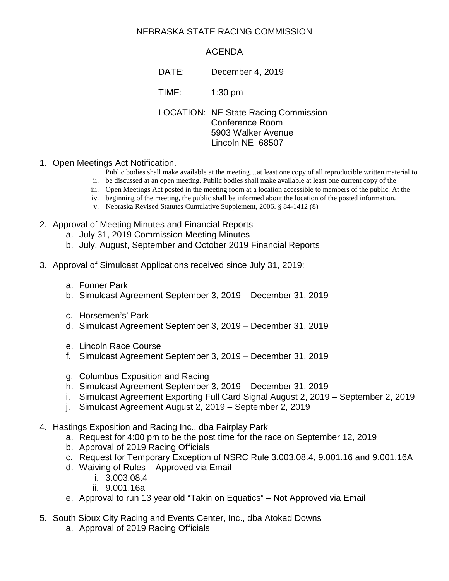## NEBRASKA STATE RACING COMMISSION

## AGENDA

DATE: December 4, 2019

TIME: 1:30 pm

LOCATION: NE State Racing Commission Conference Room 5903 Walker Avenue Lincoln NE 68507

- 1. Open Meetings Act Notification.
	- i. Public bodies shall make available at the meeting…at least one copy of all reproducible written material to
	- ii. be discussed at an open meeting. Public bodies shall make available at least one current copy of the
	- iii. Open Meetings Act posted in the meeting room at a location accessible to members of the public. At the
	- iv. beginning of the meeting, the public shall be informed about the location of the posted information.
	- v. Nebraska Revised Statutes Cumulative Supplement, 2006. § 84-1412 (8)
- 2. Approval of Meeting Minutes and Financial Reports
	- a. July 31, 2019 Commission Meeting Minutes
	- b. July, August, September and October 2019 Financial Reports
- 3. Approval of Simulcast Applications received since July 31, 2019:
	- a. Fonner Park
	- b. Simulcast Agreement September 3, 2019 December 31, 2019
	- c. Horsemen's' Park
	- d. Simulcast Agreement September 3, 2019 December 31, 2019
	- e. Lincoln Race Course
	- f. Simulcast Agreement September 3, 2019 December 31, 2019
	- g. Columbus Exposition and Racing
	- h. Simulcast Agreement September 3, 2019 December 31, 2019
	- i. Simulcast Agreement Exporting Full Card Signal August 2, 2019 September 2, 2019
	- j. Simulcast Agreement August 2, 2019 September 2, 2019

## 4. Hastings Exposition and Racing Inc., dba Fairplay Park

- a. Request for 4:00 pm to be the post time for the race on September 12, 2019
- b. Approval of 2019 Racing Officials
- c. Request for Temporary Exception of NSRC Rule 3.003.08.4, 9.001.16 and 9.001.16A
- d. Waiving of Rules Approved via Email
	- i. 3.003.08.4
	- ii. 9.001.16a
- e. Approval to run 13 year old "Takin on Equatics" Not Approved via Email
- 5. South Sioux City Racing and Events Center, Inc., dba Atokad Downs
	- a. Approval of 2019 Racing Officials